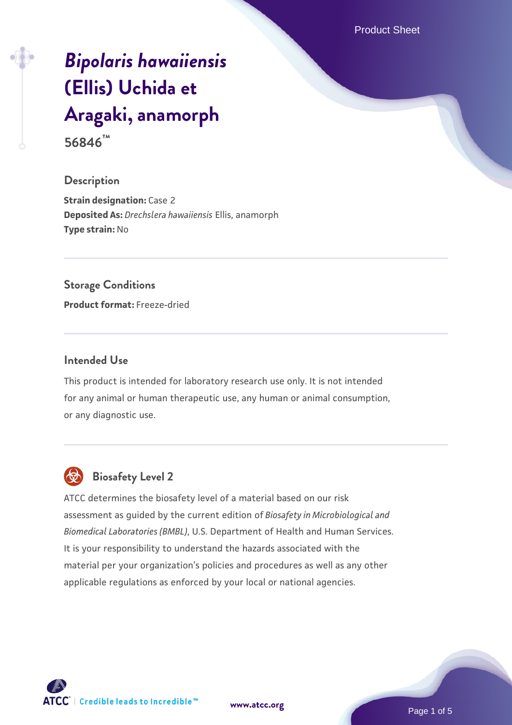# *[Bipolaris hawaiiensis](https://www.atcc.org/products/56846)* **[\(Ellis\) Uchida et](https://www.atcc.org/products/56846) [Aragaki, anamorph](https://www.atcc.org/products/56846)**

**56846™**

# **Description**

**Strain designation: Case 2 Deposited As:** *Drechslera hawaiiensis* Ellis, anamorph **Type strain:** No

# **Storage Conditions**

**Product format:** Freeze-dried

### **Intended Use**

This product is intended for laboratory research use only. It is not intended for any animal or human therapeutic use, any human or animal consumption, or any diagnostic use.



# **Biosafety Level 2**

ATCC determines the biosafety level of a material based on our risk assessment as guided by the current edition of *Biosafety in Microbiological and Biomedical Laboratories (BMBL)*, U.S. Department of Health and Human Services. It is your responsibility to understand the hazards associated with the material per your organization's policies and procedures as well as any other applicable regulations as enforced by your local or national agencies.

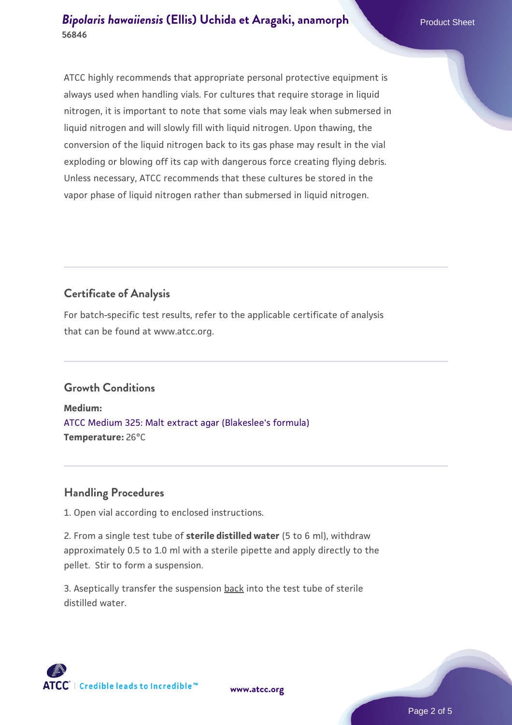## *[Bipolaris hawaiiensis](https://www.atcc.org/products/56846)* **[\(Ellis\) Uchida et Aragaki, anamorph](https://www.atcc.org/products/56846)ene and Product Sheet 56846**

ATCC highly recommends that appropriate personal protective equipment is always used when handling vials. For cultures that require storage in liquid nitrogen, it is important to note that some vials may leak when submersed in liquid nitrogen and will slowly fill with liquid nitrogen. Upon thawing, the conversion of the liquid nitrogen back to its gas phase may result in the vial exploding or blowing off its cap with dangerous force creating flying debris. Unless necessary, ATCC recommends that these cultures be stored in the vapor phase of liquid nitrogen rather than submersed in liquid nitrogen.

# **Certificate of Analysis**

For batch-specific test results, refer to the applicable certificate of analysis that can be found at www.atcc.org.

# **Growth Conditions**

**Medium:**  [ATCC Medium 325: Malt extract agar \(Blakeslee's formula\)](https://www.atcc.org/-/media/product-assets/documents/microbial-media-formulations/3/2/5/atcc-medium-325.pdf?rev=146ec77015184a96912232dcb12386f9) **Temperature:** 26°C

# **Handling Procedures**

1. Open vial according to enclosed instructions.

2. From a single test tube of **sterile distilled water** (5 to 6 ml), withdraw approximately 0.5 to 1.0 ml with a sterile pipette and apply directly to the pellet. Stir to form a suspension.

3. Aseptically transfer the suspension back into the test tube of sterile distilled water.

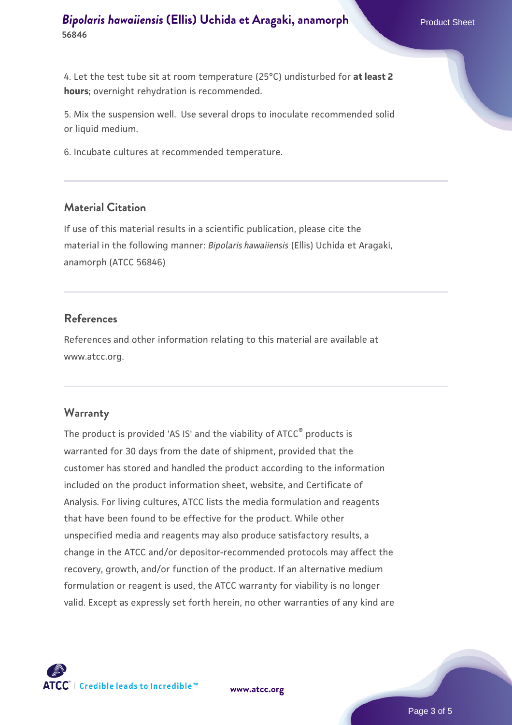4. Let the test tube sit at room temperature (25°C) undisturbed for **at least 2 hours**; overnight rehydration is recommended.

5. Mix the suspension well. Use several drops to inoculate recommended solid or liquid medium.

6. Incubate cultures at recommended temperature.

#### **Material Citation**

If use of this material results in a scientific publication, please cite the material in the following manner: *Bipolaris hawaiiensis* (Ellis) Uchida et Aragaki, anamorph (ATCC 56846)

# **References**

References and other information relating to this material are available at www.atcc.org.

#### **Warranty**

The product is provided 'AS IS' and the viability of ATCC® products is warranted for 30 days from the date of shipment, provided that the customer has stored and handled the product according to the information included on the product information sheet, website, and Certificate of Analysis. For living cultures, ATCC lists the media formulation and reagents that have been found to be effective for the product. While other unspecified media and reagents may also produce satisfactory results, a change in the ATCC and/or depositor-recommended protocols may affect the recovery, growth, and/or function of the product. If an alternative medium formulation or reagent is used, the ATCC warranty for viability is no longer valid. Except as expressly set forth herein, no other warranties of any kind are

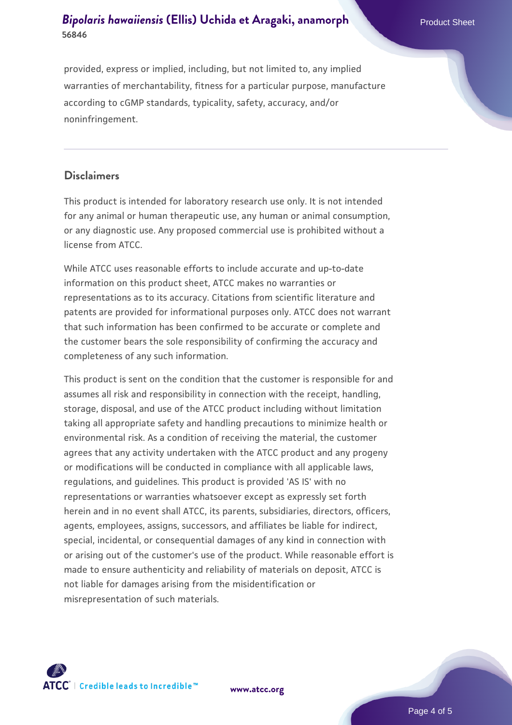# *[Bipolaris hawaiiensis](https://www.atcc.org/products/56846)* **[\(Ellis\) Uchida et Aragaki, anamorph](https://www.atcc.org/products/56846)ene and Product Sheet 56846**

provided, express or implied, including, but not limited to, any implied warranties of merchantability, fitness for a particular purpose, manufacture according to cGMP standards, typicality, safety, accuracy, and/or noninfringement.

# **Disclaimers**

This product is intended for laboratory research use only. It is not intended for any animal or human therapeutic use, any human or animal consumption, or any diagnostic use. Any proposed commercial use is prohibited without a license from ATCC.

While ATCC uses reasonable efforts to include accurate and up-to-date information on this product sheet, ATCC makes no warranties or representations as to its accuracy. Citations from scientific literature and patents are provided for informational purposes only. ATCC does not warrant that such information has been confirmed to be accurate or complete and the customer bears the sole responsibility of confirming the accuracy and completeness of any such information.

This product is sent on the condition that the customer is responsible for and assumes all risk and responsibility in connection with the receipt, handling, storage, disposal, and use of the ATCC product including without limitation taking all appropriate safety and handling precautions to minimize health or environmental risk. As a condition of receiving the material, the customer agrees that any activity undertaken with the ATCC product and any progeny or modifications will be conducted in compliance with all applicable laws, regulations, and guidelines. This product is provided 'AS IS' with no representations or warranties whatsoever except as expressly set forth herein and in no event shall ATCC, its parents, subsidiaries, directors, officers, agents, employees, assigns, successors, and affiliates be liable for indirect, special, incidental, or consequential damages of any kind in connection with or arising out of the customer's use of the product. While reasonable effort is made to ensure authenticity and reliability of materials on deposit, ATCC is not liable for damages arising from the misidentification or misrepresentation of such materials.